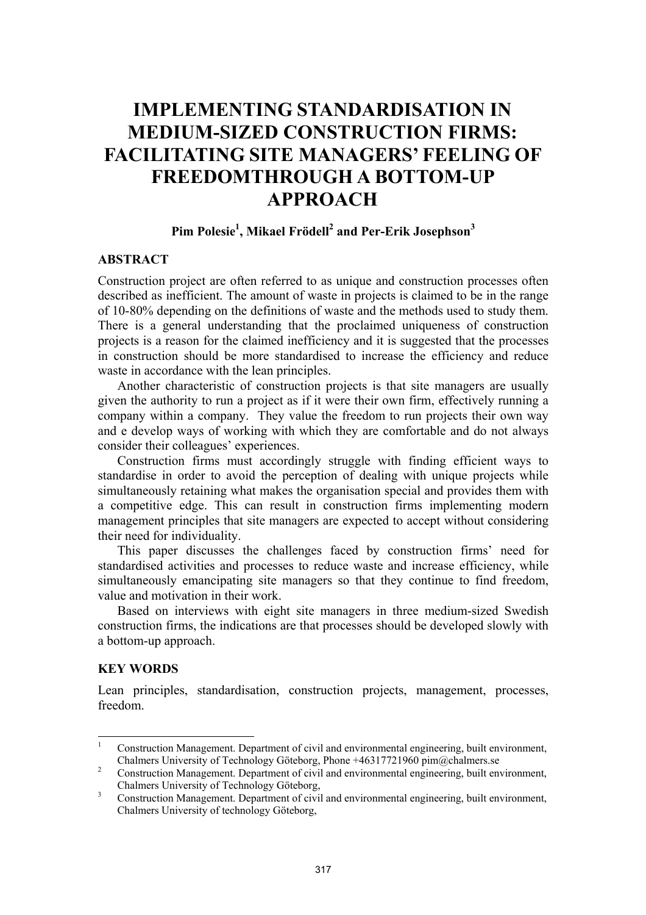# **IMPLEMENTING STANDARDISATION IN MEDIUM-SIZED CONSTRUCTION FIRMS: FACILITATING SITE MANAGERS' FEELING OF FREEDOMTHROUGH A BOTTOM-UP APPROACH**

## Pim Polesie<sup>1</sup>, Mikael Frödell<sup>2</sup> and Per-Erik Josephson<sup>3</sup>

#### **ABSTRACT**

Construction project are often referred to as unique and construction processes often described as inefficient. The amount of waste in projects is claimed to be in the range of 10-80% depending on the definitions of waste and the methods used to study them. There is a general understanding that the proclaimed uniqueness of construction projects is a reason for the claimed inefficiency and it is suggested that the processes in construction should be more standardised to increase the efficiency and reduce waste in accordance with the lean principles.

Another characteristic of construction projects is that site managers are usually given the authority to run a project as if it were their own firm, effectively running a company within a company. They value the freedom to run projects their own way and e develop ways of working with which they are comfortable and do not always consider their colleagues' experiences.

Construction firms must accordingly struggle with finding efficient ways to standardise in order to avoid the perception of dealing with unique projects while simultaneously retaining what makes the organisation special and provides them with a competitive edge. This can result in construction firms implementing modern management principles that site managers are expected to accept without considering their need for individuality.

This paper discusses the challenges faced by construction firms' need for standardised activities and processes to reduce waste and increase efficiency, while simultaneously emancipating site managers so that they continue to find freedom, value and motivation in their work.

Based on interviews with eight site managers in three medium-sized Swedish construction firms, the indications are that processes should be developed slowly with a bottom-up approach.

#### **KEY WORDS**

Lean principles, standardisation, construction projects, management, processes, freedom.

 $\frac{1}{1}$  Construction Management. Department of civil and environmental engineering, built environment, Chalmers University of Technology Göteborg, Phone +46317721960 pim@chalmers.se

Construction Management. Department of civil and environmental engineering, built environment, Chalmers University of Technology Göteborg,

Construction Management. Department of civil and environmental engineering, built environment, Chalmers University of technology Göteborg,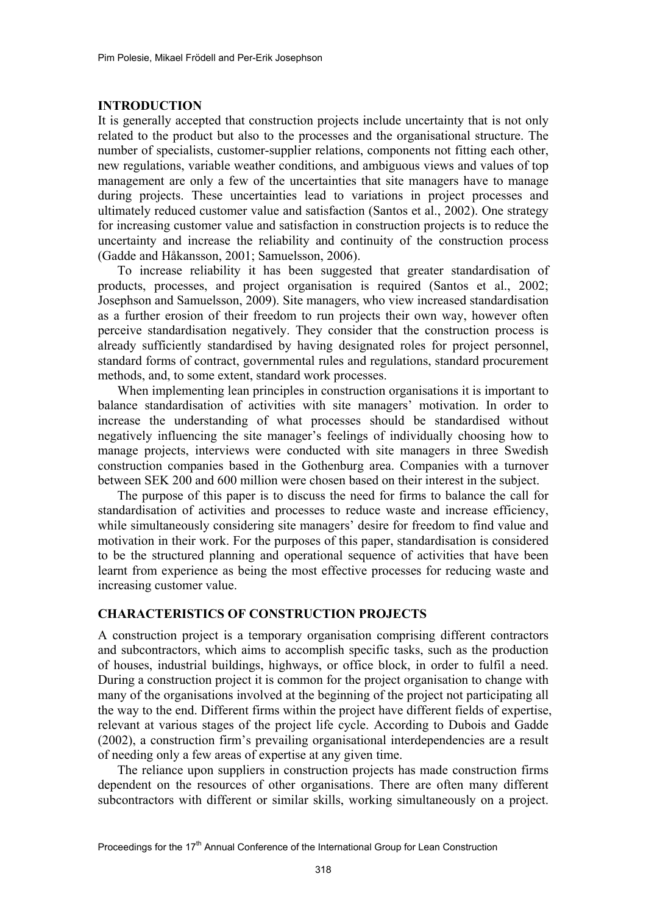#### **INTRODUCTION**

It is generally accepted that construction projects include uncertainty that is not only related to the product but also to the processes and the organisational structure. The number of specialists, customer-supplier relations, components not fitting each other, new regulations, variable weather conditions, and ambiguous views and values of top management are only a few of the uncertainties that site managers have to manage during projects. These uncertainties lead to variations in project processes and ultimately reduced customer value and satisfaction (Santos et al., 2002). One strategy for increasing customer value and satisfaction in construction projects is to reduce the uncertainty and increase the reliability and continuity of the construction process (Gadde and Håkansson, 2001; Samuelsson, 2006).

To increase reliability it has been suggested that greater standardisation of products, processes, and project organisation is required (Santos et al., 2002; Josephson and Samuelsson, 2009). Site managers, who view increased standardisation as a further erosion of their freedom to run projects their own way, however often perceive standardisation negatively. They consider that the construction process is already sufficiently standardised by having designated roles for project personnel, standard forms of contract, governmental rules and regulations, standard procurement methods, and, to some extent, standard work processes.

When implementing lean principles in construction organisations it is important to balance standardisation of activities with site managers' motivation. In order to increase the understanding of what processes should be standardised without negatively influencing the site manager's feelings of individually choosing how to manage projects, interviews were conducted with site managers in three Swedish construction companies based in the Gothenburg area. Companies with a turnover between SEK 200 and 600 million were chosen based on their interest in the subject.

The purpose of this paper is to discuss the need for firms to balance the call for standardisation of activities and processes to reduce waste and increase efficiency, while simultaneously considering site managers' desire for freedom to find value and motivation in their work. For the purposes of this paper, standardisation is considered to be the structured planning and operational sequence of activities that have been learnt from experience as being the most effective processes for reducing waste and increasing customer value.

#### **CHARACTERISTICS OF CONSTRUCTION PROJECTS**

A construction project is a temporary organisation comprising different contractors and subcontractors, which aims to accomplish specific tasks, such as the production of houses, industrial buildings, highways, or office block, in order to fulfil a need. During a construction project it is common for the project organisation to change with many of the organisations involved at the beginning of the project not participating all the way to the end. Different firms within the project have different fields of expertise, relevant at various stages of the project life cycle. According to Dubois and Gadde (2002), a construction firm's prevailing organisational interdependencies are a result of needing only a few areas of expertise at any given time.

The reliance upon suppliers in construction projects has made construction firms dependent on the resources of other organisations. There are often many different subcontractors with different or similar skills, working simultaneously on a project.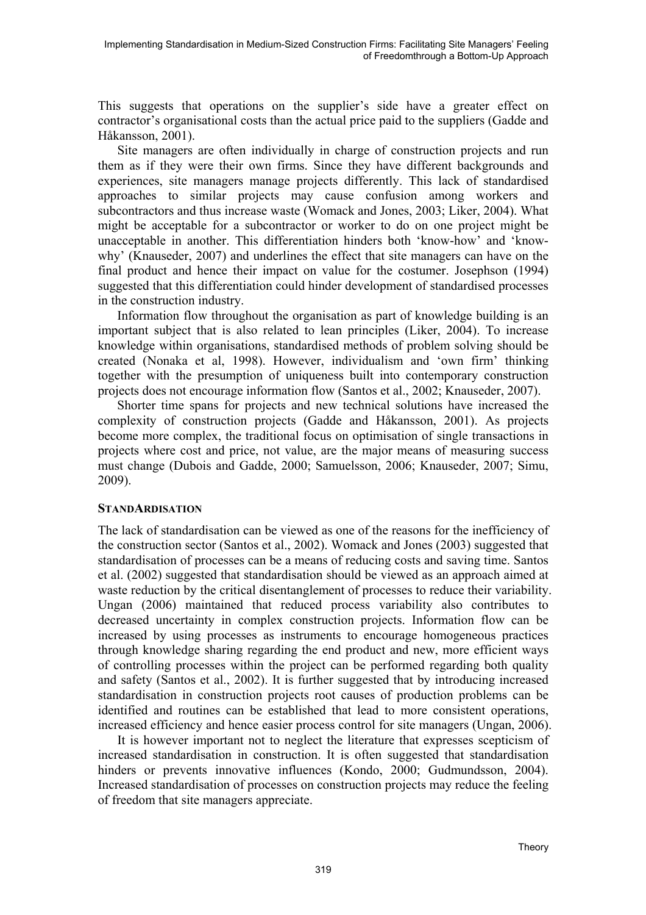This suggests that operations on the supplier's side have a greater effect on contractor's organisational costs than the actual price paid to the suppliers (Gadde and Håkansson, 2001).

Site managers are often individually in charge of construction projects and run them as if they were their own firms. Since they have different backgrounds and experiences, site managers manage projects differently. This lack of standardised approaches to similar projects may cause confusion among workers and subcontractors and thus increase waste (Womack and Jones, 2003; Liker, 2004). What might be acceptable for a subcontractor or worker to do on one project might be unacceptable in another. This differentiation hinders both 'know-how' and 'knowwhy' (Knauseder, 2007) and underlines the effect that site managers can have on the final product and hence their impact on value for the costumer. Josephson (1994) suggested that this differentiation could hinder development of standardised processes in the construction industry.

Information flow throughout the organisation as part of knowledge building is an important subject that is also related to lean principles (Liker, 2004). To increase knowledge within organisations, standardised methods of problem solving should be created (Nonaka et al, 1998). However, individualism and 'own firm' thinking together with the presumption of uniqueness built into contemporary construction projects does not encourage information flow (Santos et al., 2002; Knauseder, 2007).

Shorter time spans for projects and new technical solutions have increased the complexity of construction projects (Gadde and Håkansson, 2001). As projects become more complex, the traditional focus on optimisation of single transactions in projects where cost and price, not value, are the major means of measuring success must change (Dubois and Gadde, 2000; Samuelsson, 2006; Knauseder, 2007; Simu, 2009).

### **STANDARDISATION**

The lack of standardisation can be viewed as one of the reasons for the inefficiency of the construction sector (Santos et al., 2002). Womack and Jones (2003) suggested that standardisation of processes can be a means of reducing costs and saving time. Santos et al. (2002) suggested that standardisation should be viewed as an approach aimed at waste reduction by the critical disentanglement of processes to reduce their variability. Ungan (2006) maintained that reduced process variability also contributes to decreased uncertainty in complex construction projects. Information flow can be increased by using processes as instruments to encourage homogeneous practices through knowledge sharing regarding the end product and new, more efficient ways of controlling processes within the project can be performed regarding both quality and safety (Santos et al., 2002). It is further suggested that by introducing increased standardisation in construction projects root causes of production problems can be identified and routines can be established that lead to more consistent operations, increased efficiency and hence easier process control for site managers (Ungan, 2006).

It is however important not to neglect the literature that expresses scepticism of increased standardisation in construction. It is often suggested that standardisation hinders or prevents innovative influences (Kondo, 2000; Gudmundsson, 2004). Increased standardisation of processes on construction projects may reduce the feeling of freedom that site managers appreciate.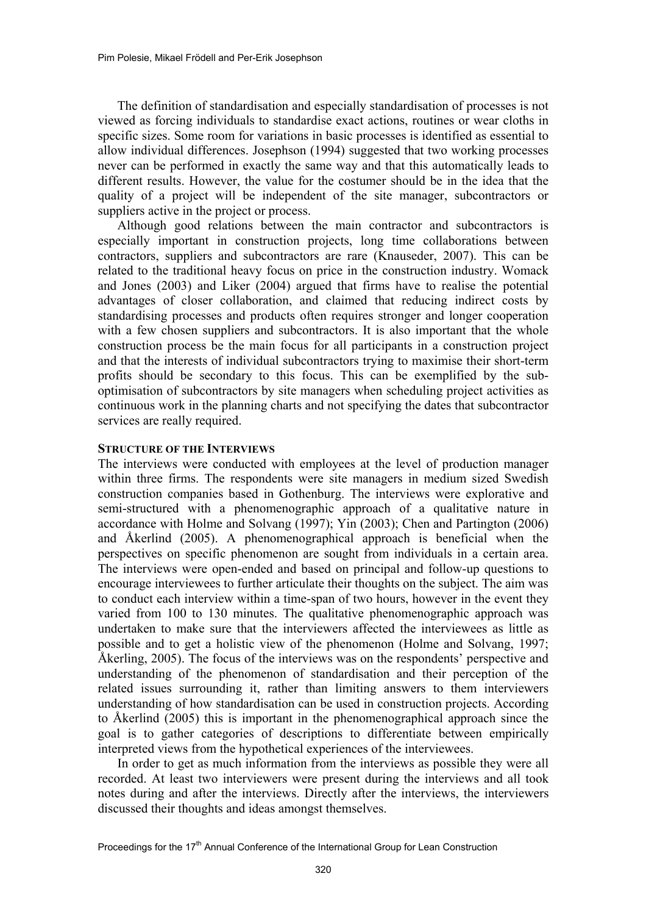The definition of standardisation and especially standardisation of processes is not viewed as forcing individuals to standardise exact actions, routines or wear cloths in specific sizes. Some room for variations in basic processes is identified as essential to allow individual differences. Josephson (1994) suggested that two working processes never can be performed in exactly the same way and that this automatically leads to different results. However, the value for the costumer should be in the idea that the quality of a project will be independent of the site manager, subcontractors or suppliers active in the project or process.

Although good relations between the main contractor and subcontractors is especially important in construction projects, long time collaborations between contractors, suppliers and subcontractors are rare (Knauseder, 2007). This can be related to the traditional heavy focus on price in the construction industry. Womack and Jones (2003) and Liker (2004) argued that firms have to realise the potential advantages of closer collaboration, and claimed that reducing indirect costs by standardising processes and products often requires stronger and longer cooperation with a few chosen suppliers and subcontractors. It is also important that the whole construction process be the main focus for all participants in a construction project and that the interests of individual subcontractors trying to maximise their short-term profits should be secondary to this focus. This can be exemplified by the suboptimisation of subcontractors by site managers when scheduling project activities as continuous work in the planning charts and not specifying the dates that subcontractor services are really required.

#### **STRUCTURE OF THE INTERVIEWS**

The interviews were conducted with employees at the level of production manager within three firms. The respondents were site managers in medium sized Swedish construction companies based in Gothenburg. The interviews were explorative and semi-structured with a phenomenographic approach of a qualitative nature in accordance with Holme and Solvang (1997); Yin (2003); Chen and Partington (2006) and Åkerlind (2005). A phenomenographical approach is beneficial when the perspectives on specific phenomenon are sought from individuals in a certain area. The interviews were open-ended and based on principal and follow-up questions to encourage interviewees to further articulate their thoughts on the subject. The aim was to conduct each interview within a time-span of two hours, however in the event they varied from 100 to 130 minutes. The qualitative phenomenographic approach was undertaken to make sure that the interviewers affected the interviewees as little as possible and to get a holistic view of the phenomenon (Holme and Solvang, 1997; Åkerling, 2005). The focus of the interviews was on the respondents' perspective and understanding of the phenomenon of standardisation and their perception of the related issues surrounding it, rather than limiting answers to them interviewers understanding of how standardisation can be used in construction projects. According to Åkerlind (2005) this is important in the phenomenographical approach since the goal is to gather categories of descriptions to differentiate between empirically interpreted views from the hypothetical experiences of the interviewees.

In order to get as much information from the interviews as possible they were all recorded. At least two interviewers were present during the interviews and all took notes during and after the interviews. Directly after the interviews, the interviewers discussed their thoughts and ideas amongst themselves.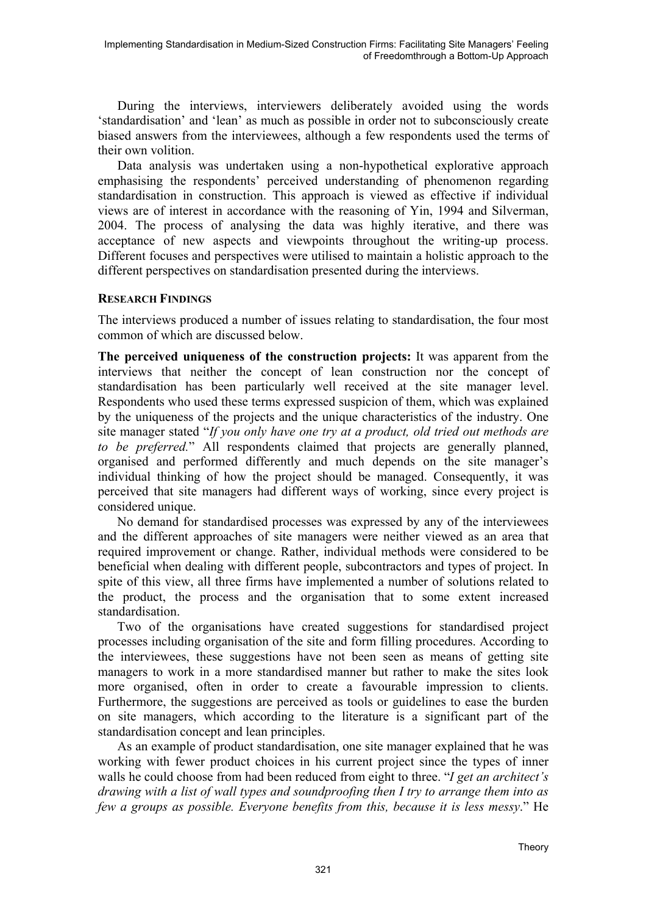During the interviews, interviewers deliberately avoided using the words 'standardisation' and 'lean' as much as possible in order not to subconsciously create biased answers from the interviewees, although a few respondents used the terms of their own volition.

Data analysis was undertaken using a non-hypothetical explorative approach emphasising the respondents' perceived understanding of phenomenon regarding standardisation in construction. This approach is viewed as effective if individual views are of interest in accordance with the reasoning of Yin, 1994 and Silverman, 2004. The process of analysing the data was highly iterative, and there was acceptance of new aspects and viewpoints throughout the writing-up process. Different focuses and perspectives were utilised to maintain a holistic approach to the different perspectives on standardisation presented during the interviews.

## **RESEARCH FINDINGS**

The interviews produced a number of issues relating to standardisation, the four most common of which are discussed below.

**The perceived uniqueness of the construction projects:** It was apparent from the interviews that neither the concept of lean construction nor the concept of standardisation has been particularly well received at the site manager level. Respondents who used these terms expressed suspicion of them, which was explained by the uniqueness of the projects and the unique characteristics of the industry. One site manager stated "*If you only have one try at a product, old tried out methods are to be preferred.*" All respondents claimed that projects are generally planned, organised and performed differently and much depends on the site manager's individual thinking of how the project should be managed. Consequently, it was perceived that site managers had different ways of working, since every project is considered unique.

No demand for standardised processes was expressed by any of the interviewees and the different approaches of site managers were neither viewed as an area that required improvement or change. Rather, individual methods were considered to be beneficial when dealing with different people, subcontractors and types of project. In spite of this view, all three firms have implemented a number of solutions related to the product, the process and the organisation that to some extent increased standardisation.

Two of the organisations have created suggestions for standardised project processes including organisation of the site and form filling procedures. According to the interviewees, these suggestions have not been seen as means of getting site managers to work in a more standardised manner but rather to make the sites look more organised, often in order to create a favourable impression to clients. Furthermore, the suggestions are perceived as tools or guidelines to ease the burden on site managers, which according to the literature is a significant part of the standardisation concept and lean principles.

As an example of product standardisation, one site manager explained that he was working with fewer product choices in his current project since the types of inner walls he could choose from had been reduced from eight to three. "*I get an architect's drawing with a list of wall types and soundproofing then I try to arrange them into as few a groups as possible. Everyone benefits from this, because it is less messy*." He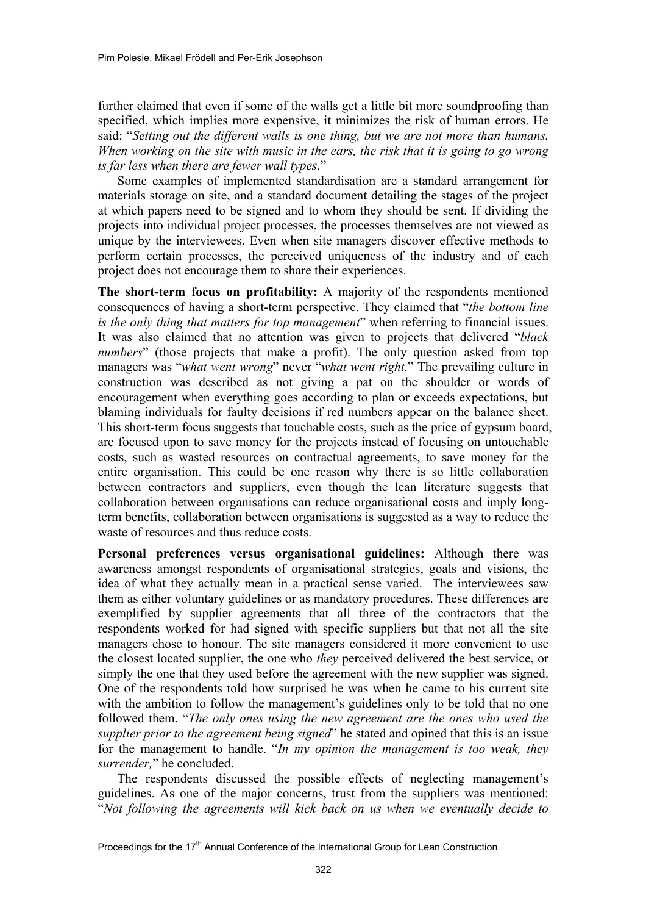further claimed that even if some of the walls get a little bit more soundproofing than specified, which implies more expensive, it minimizes the risk of human errors. He said: "*Setting out the different walls is one thing, but we are not more than humans. When working on the site with music in the ears, the risk that it is going to go wrong is far less when there are fewer wall types.*"

Some examples of implemented standardisation are a standard arrangement for materials storage on site, and a standard document detailing the stages of the project at which papers need to be signed and to whom they should be sent. If dividing the projects into individual project processes, the processes themselves are not viewed as unique by the interviewees. Even when site managers discover effective methods to perform certain processes, the perceived uniqueness of the industry and of each project does not encourage them to share their experiences.

**The short-term focus on profitability:** A majority of the respondents mentioned consequences of having a short-term perspective. They claimed that "*the bottom line is the only thing that matters for top management*" when referring to financial issues. It was also claimed that no attention was given to projects that delivered "*black numbers*" (those projects that make a profit). The only question asked from top managers was "*what went wrong*" never "*what went right.*" The prevailing culture in construction was described as not giving a pat on the shoulder or words of encouragement when everything goes according to plan or exceeds expectations, but blaming individuals for faulty decisions if red numbers appear on the balance sheet. This short-term focus suggests that touchable costs, such as the price of gypsum board, are focused upon to save money for the projects instead of focusing on untouchable costs, such as wasted resources on contractual agreements, to save money for the entire organisation. This could be one reason why there is so little collaboration between contractors and suppliers, even though the lean literature suggests that collaboration between organisations can reduce organisational costs and imply longterm benefits, collaboration between organisations is suggested as a way to reduce the waste of resources and thus reduce costs.

**Personal preferences versus organisational guidelines:** Although there was awareness amongst respondents of organisational strategies, goals and visions, the idea of what they actually mean in a practical sense varied. The interviewees saw them as either voluntary guidelines or as mandatory procedures. These differences are exemplified by supplier agreements that all three of the contractors that the respondents worked for had signed with specific suppliers but that not all the site managers chose to honour. The site managers considered it more convenient to use the closest located supplier, the one who *they* perceived delivered the best service, or simply the one that they used before the agreement with the new supplier was signed. One of the respondents told how surprised he was when he came to his current site with the ambition to follow the management's guidelines only to be told that no one followed them. "*The only ones using the new agreement are the ones who used the supplier prior to the agreement being signed*" he stated and opined that this is an issue for the management to handle. "*In my opinion the management is too weak, they surrender,*" he concluded.

The respondents discussed the possible effects of neglecting management's guidelines. As one of the major concerns, trust from the suppliers was mentioned: "*Not following the agreements will kick back on us when we eventually decide to* 

Proceedings for the 17<sup>th</sup> Annual Conference of the International Group for Lean Construction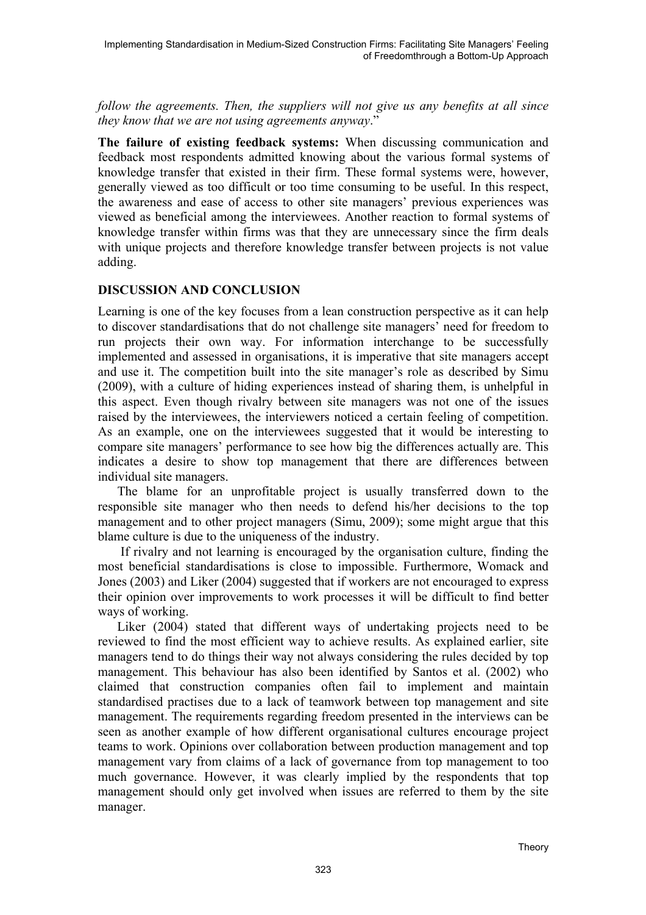*follow the agreements. Then, the suppliers will not give us any benefits at all since they know that we are not using agreements anyway*."

**The failure of existing feedback systems:** When discussing communication and feedback most respondents admitted knowing about the various formal systems of knowledge transfer that existed in their firm. These formal systems were, however, generally viewed as too difficult or too time consuming to be useful. In this respect, the awareness and ease of access to other site managers' previous experiences was viewed as beneficial among the interviewees. Another reaction to formal systems of knowledge transfer within firms was that they are unnecessary since the firm deals with unique projects and therefore knowledge transfer between projects is not value adding.

## **DISCUSSION AND CONCLUSION**

Learning is one of the key focuses from a lean construction perspective as it can help to discover standardisations that do not challenge site managers' need for freedom to run projects their own way. For information interchange to be successfully implemented and assessed in organisations, it is imperative that site managers accept and use it. The competition built into the site manager's role as described by Simu (2009), with a culture of hiding experiences instead of sharing them, is unhelpful in this aspect. Even though rivalry between site managers was not one of the issues raised by the interviewees, the interviewers noticed a certain feeling of competition. As an example, one on the interviewees suggested that it would be interesting to compare site managers' performance to see how big the differences actually are. This indicates a desire to show top management that there are differences between individual site managers.

The blame for an unprofitable project is usually transferred down to the responsible site manager who then needs to defend his/her decisions to the top management and to other project managers (Simu, 2009); some might argue that this blame culture is due to the uniqueness of the industry.

 If rivalry and not learning is encouraged by the organisation culture, finding the most beneficial standardisations is close to impossible. Furthermore, Womack and Jones (2003) and Liker (2004) suggested that if workers are not encouraged to express their opinion over improvements to work processes it will be difficult to find better ways of working.

Liker (2004) stated that different ways of undertaking projects need to be reviewed to find the most efficient way to achieve results. As explained earlier, site managers tend to do things their way not always considering the rules decided by top management. This behaviour has also been identified by Santos et al. (2002) who claimed that construction companies often fail to implement and maintain standardised practises due to a lack of teamwork between top management and site management. The requirements regarding freedom presented in the interviews can be seen as another example of how different organisational cultures encourage project teams to work. Opinions over collaboration between production management and top management vary from claims of a lack of governance from top management to too much governance. However, it was clearly implied by the respondents that top management should only get involved when issues are referred to them by the site manager.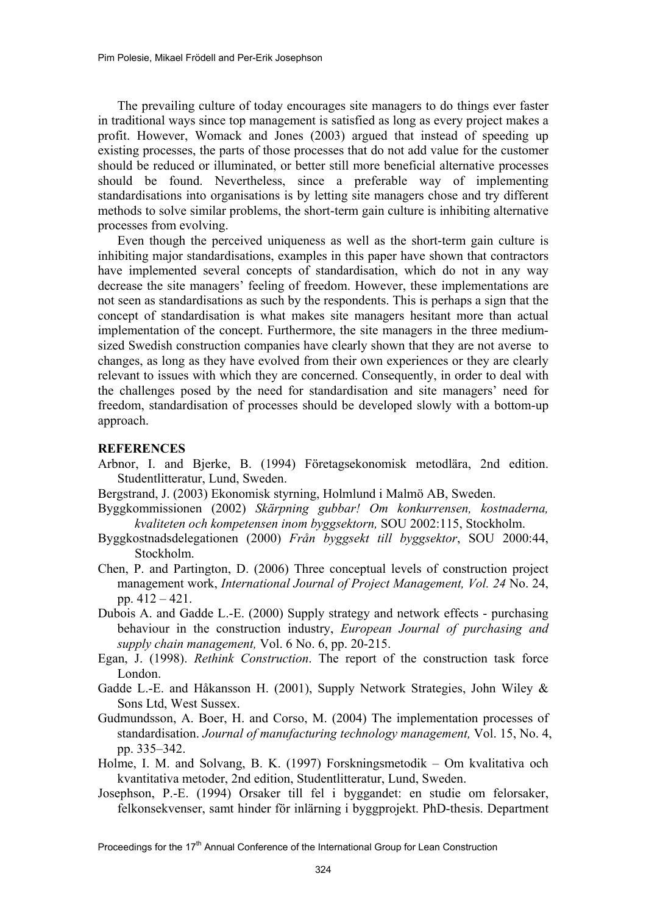The prevailing culture of today encourages site managers to do things ever faster in traditional ways since top management is satisfied as long as every project makes a profit. However, Womack and Jones (2003) argued that instead of speeding up existing processes, the parts of those processes that do not add value for the customer should be reduced or illuminated, or better still more beneficial alternative processes should be found. Nevertheless, since a preferable way of implementing standardisations into organisations is by letting site managers chose and try different methods to solve similar problems, the short-term gain culture is inhibiting alternative processes from evolving.

Even though the perceived uniqueness as well as the short-term gain culture is inhibiting major standardisations, examples in this paper have shown that contractors have implemented several concepts of standardisation, which do not in any way decrease the site managers' feeling of freedom. However, these implementations are not seen as standardisations as such by the respondents. This is perhaps a sign that the concept of standardisation is what makes site managers hesitant more than actual implementation of the concept. Furthermore, the site managers in the three mediumsized Swedish construction companies have clearly shown that they are not averse to changes, as long as they have evolved from their own experiences or they are clearly relevant to issues with which they are concerned. Consequently, in order to deal with the challenges posed by the need for standardisation and site managers' need for freedom, standardisation of processes should be developed slowly with a bottom-up approach.

### **REFERENCES**

- Arbnor, I. and Bjerke, B. (1994) Företagsekonomisk metodlära, 2nd edition. Studentlitteratur, Lund, Sweden.
- Bergstrand, J. (2003) Ekonomisk styrning, Holmlund i Malmö AB, Sweden.
- Byggkommissionen (2002) *Skärpning gubbar! Om konkurrensen, kostnaderna, kvaliteten och kompetensen inom byggsektorn,* SOU 2002:115, Stockholm.
- Byggkostnadsdelegationen (2000) *Från byggsekt till byggsektor*, SOU 2000:44, Stockholm.
- Chen, P. and Partington, D. (2006) Three conceptual levels of construction project management work, *International Journal of Project Management, Vol. 24* No. 24, pp.  $412 - 421$ .
- Dubois A. and Gadde L.-E. (2000) Supply strategy and network effects purchasing behaviour in the construction industry, *European Journal of purchasing and supply chain management,* Vol. 6 No. 6, pp. 20-215.
- Egan, J. (1998). *Rethink Construction*. The report of the construction task force London.
- Gadde L.-E. and Håkansson H. (2001), Supply Network Strategies, John Wiley & Sons Ltd, West Sussex.
- Gudmundsson, A. Boer, H. and Corso, M. (2004) The implementation processes of standardisation. *Journal of manufacturing technology management,* Vol. 15, No. 4, pp. 335–342.
- Holme, I. M. and Solvang, B. K. (1997) Forskningsmetodik Om kvalitativa och kvantitativa metoder, 2nd edition, Studentlitteratur, Lund, Sweden.
- Josephson, P.-E. (1994) Orsaker till fel i byggandet: en studie om felorsaker, felkonsekvenser, samt hinder för inlärning i byggprojekt. PhD-thesis. Department

Proceedings for the 17<sup>th</sup> Annual Conference of the International Group for Lean Construction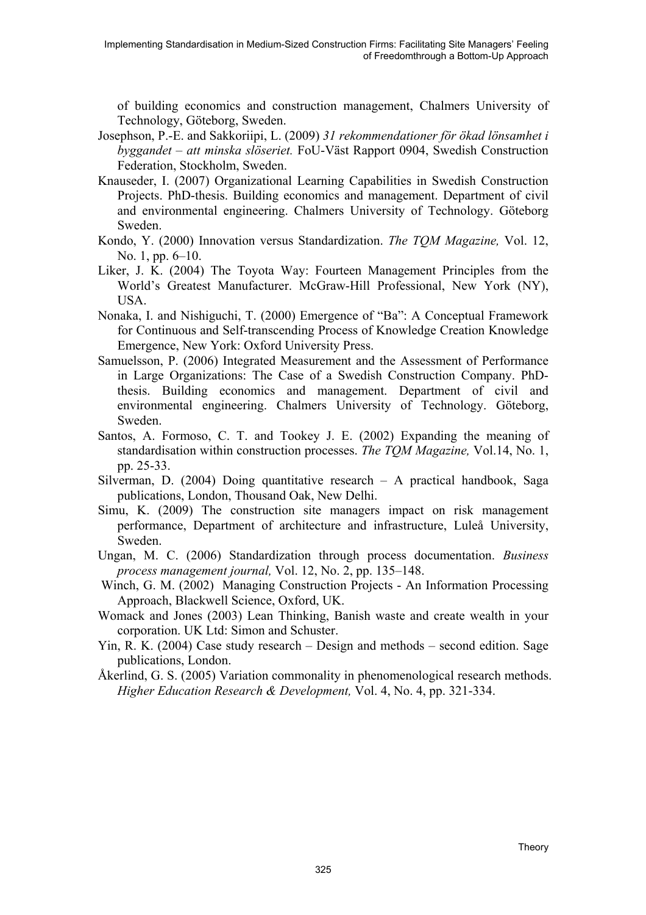of building economics and construction management, Chalmers University of Technology, Göteborg, Sweden.

- Josephson, P.-E. and Sakkoriipi, L. (2009) *31 rekommendationer för ökad lönsamhet i byggandet – att minska slöseriet.* FoU-Väst Rapport 0904, Swedish Construction Federation, Stockholm, Sweden.
- Knauseder, I. (2007) Organizational Learning Capabilities in Swedish Construction Projects. PhD-thesis. Building economics and management. Department of civil and environmental engineering. Chalmers University of Technology. Göteborg Sweden.
- Kondo, Y. (2000) Innovation versus Standardization. *The TQM Magazine,* Vol. 12, No. 1, pp. 6–10.
- Liker, J. K. (2004) The Toyota Way: Fourteen Management Principles from the World's Greatest Manufacturer. McGraw-Hill Professional, New York (NY), USA.
- Nonaka, I. and Nishiguchi, T. (2000) Emergence of "Ba": A Conceptual Framework for Continuous and Self-transcending Process of Knowledge Creation Knowledge Emergence, New York: Oxford University Press.
- Samuelsson, P. (2006) Integrated Measurement and the Assessment of Performance in Large Organizations: The Case of a Swedish Construction Company. PhDthesis. Building economics and management. Department of civil and environmental engineering. Chalmers University of Technology. Göteborg, Sweden.
- Santos, A. Formoso, C. T. and Tookey J. E. (2002) Expanding the meaning of standardisation within construction processes. *The TQM Magazine,* Vol.14, No. 1, pp. 25-33.
- Silverman, D. (2004) Doing quantitative research  $-$  A practical handbook, Saga publications, London, Thousand Oak, New Delhi.
- Simu, K. (2009) The construction site managers impact on risk management performance, Department of architecture and infrastructure, Luleå University, Sweden.
- Ungan, M. C. (2006) Standardization through process documentation. *Business process management journal,* Vol. 12, No. 2, pp. 135–148.
- Winch, G. M. (2002) Managing Construction Projects An Information Processing Approach, Blackwell Science, Oxford, UK.
- Womack and Jones (2003) Lean Thinking, Banish waste and create wealth in your corporation. UK Ltd: Simon and Schuster.
- Yin, R. K. (2004) Case study research Design and methods second edition. Sage publications, London.
- Åkerlind, G. S. (2005) Variation commonality in phenomenological research methods. *Higher Education Research & Development,* Vol. 4, No. 4, pp. 321-334.